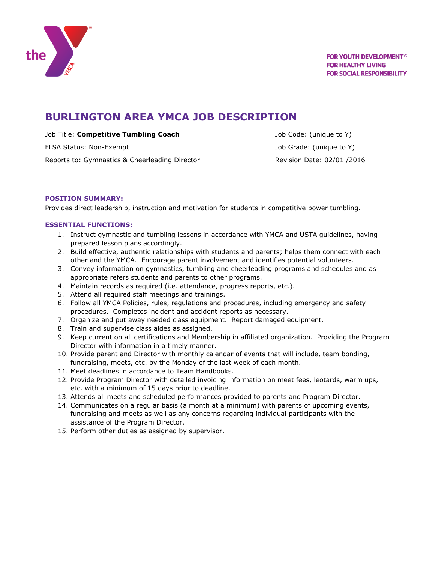

# **BURLINGTON AREA YMCA JOB DESCRIPTION**

Job Title: **Competitive Tumbling Coach** Job Code: (unique to Y)

FLSA Status: Non-Exempt **Alternative Controllers** and the USA Status: 10b Grade: (unique to Y) Reports to: Gymnastics & Cheerleading Director **Revision Date: 02/01 /2016** 

## **POSITION SUMMARY:**

Provides direct leadership, instruction and motivation for students in competitive power tumbling.

## **ESSENTIAL FUNCTIONS:**

- 1. Instruct gymnastic and tumbling lessons in accordance with YMCA and USTA guidelines, having prepared lesson plans accordingly.
- 2. Build effective, authentic relationships with students and parents; helps them connect with each other and the YMCA. Encourage parent involvement and identifies potential volunteers.
- 3. Convey information on gymnastics, tumbling and cheerleading programs and schedules and as appropriate refers students and parents to other programs.
- 4. Maintain records as required (i.e. attendance, progress reports, etc.).
- 5. Attend all required staff meetings and trainings.
- 6. Follow all YMCA Policies, rules, regulations and procedures, including emergency and safety procedures. Completes incident and accident reports as necessary.
- 7. Organize and put away needed class equipment. Report damaged equipment.
- 8. Train and supervise class aides as assigned.
- 9. Keep current on all certifications and Membership in affiliated organization. Providing the Program Director with information in a timely manner.
- 10. Provide parent and Director with monthly calendar of events that will include, team bonding, fundraising, meets, etc. by the Monday of the last week of each month.
- 11. Meet deadlines in accordance to Team Handbooks.
- 12. Provide Program Director with detailed invoicing information on meet fees, leotards, warm ups, etc. with a minimum of 15 days prior to deadline.
- 13. Attends all meets and scheduled performances provided to parents and Program Director.
- 14. Communicates on a regular basis (a month at a minimum) with parents of upcoming events, fundraising and meets as well as any concerns regarding individual participants with the assistance of the Program Director.
- 15. Perform other duties as assigned by supervisor.